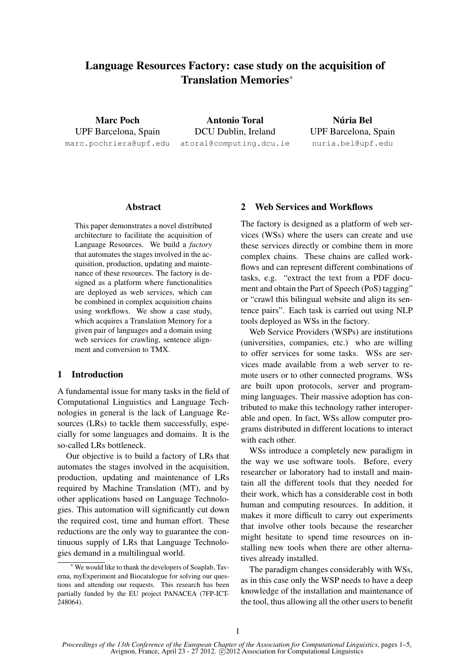# Language Resources Factory: case study on the acquisition of Translation Memories<sup>∗</sup>

Marc Poch UPF Barcelona, Spain marc.pochriera@upf.edu

Antonio Toral DCU Dublin, Ireland atoral@computing.dcu.ie

Núria Bel UPF Barcelona, Spain nuria.bel@upf.edu

#### Abstract

This paper demonstrates a novel distributed architecture to facilitate the acquisition of Language Resources. We build a *factory* that automates the stages involved in the acquisition, production, updating and maintenance of these resources. The factory is designed as a platform where functionalities are deployed as web services, which can be combined in complex acquisition chains using workflows. We show a case study, which acquires a Translation Memory for a given pair of languages and a domain using web services for crawling, sentence alignment and conversion to TMX.

#### 1 Introduction

A fundamental issue for many tasks in the field of Computational Linguistics and Language Technologies in general is the lack of Language Resources (LRs) to tackle them successfully, especially for some languages and domains. It is the so-called LRs bottleneck.

Our objective is to build a factory of LRs that automates the stages involved in the acquisition, production, updating and maintenance of LRs required by Machine Translation (MT), and by other applications based on Language Technologies. This automation will significantly cut down the required cost, time and human effort. These reductions are the only way to guarantee the continuous supply of LRs that Language Technologies demand in a multilingual world.

# 2 Web Services and Workflows

The factory is designed as a platform of web services (WSs) where the users can create and use these services directly or combine them in more complex chains. These chains are called workflows and can represent different combinations of tasks, e.g. "extract the text from a PDF document and obtain the Part of Speech (PoS) tagging" or "crawl this bilingual website and align its sentence pairs". Each task is carried out using NLP tools deployed as WSs in the factory.

Web Service Providers (WSPs) are institutions (universities, companies, etc.) who are willing to offer services for some tasks. WSs are services made available from a web server to remote users or to other connected programs. WSs are built upon protocols, server and programming languages. Their massive adoption has contributed to make this technology rather interoperable and open. In fact, WSs allow computer programs distributed in different locations to interact with each other.

WSs introduce a completely new paradigm in the way we use software tools. Before, every researcher or laboratory had to install and maintain all the different tools that they needed for their work, which has a considerable cost in both human and computing resources. In addition, it makes it more difficult to carry out experiments that involve other tools because the researcher might hesitate to spend time resources on installing new tools when there are other alternatives already installed.

The paradigm changes considerably with WSs, as in this case only the WSP needs to have a deep knowledge of the installation and maintenance of the tool, thus allowing all the other users to benefit

<sup>∗</sup> We would like to thank the developers of Soaplab, Taverna, myExperiment and Biocatalogue for solving our questions and attending our requests. This research has been partially funded by the EU project PANACEA (7FP-ICT-248064).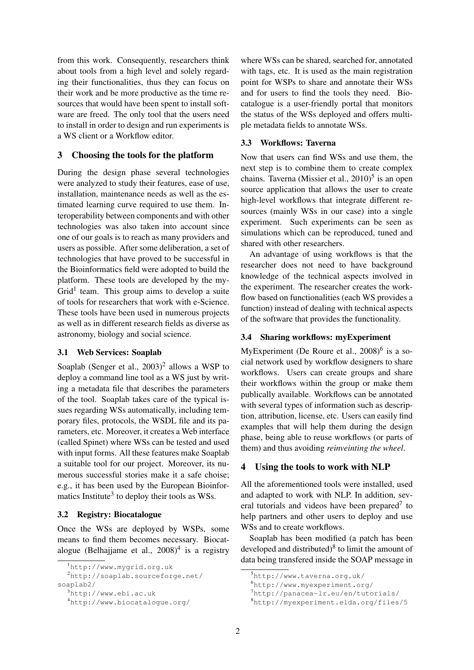from this work. Consequently, researchers think about tools from a high level and solely regarding their functionalities, thus they can focus on their work and be more productive as the time resources that would have been spent to install software are freed. The only tool that the users need to install in order to design and run experiments is a WS client or a Workflow editor.

# 3 Choosing the tools for the platform

During the design phase several technologies were analyzed to study their features, ease of use, installation, maintenance needs as well as the estimated learning curve required to use them. Interoperability between components and with other technologies was also taken into account since one of our goals is to reach as many providers and users as possible. After some deliberation, a set of technologies that have proved to be successful in the Bioinformatics field were adopted to build the platform. These tools are developed by the my-Grid<sup>1</sup> team. This group aims to develop a suite of tools for researchers that work with e-Science. These tools have been used in numerous projects as well as in different research fields as diverse as astronomy, biology and social science.

# 3.1 Web Services: Soaplab

Soaplab (Senger et al., 2003)<sup>2</sup> allows a WSP to deploy a command line tool as a WS just by writing a metadata file that describes the parameters of the tool. Soaplab takes care of the typical issues regarding WSs automatically, including temporary files, protocols, the WSDL file and its parameters, etc. Moreover, it creates a Web interface (called Spinet) where WSs can be tested and used with input forms. All these features make Soaplab a suitable tool for our project. Moreover, its numerous successful stories make it a safe choise; e.g., it has been used by the European Bioinformatics Institute<sup>3</sup> to deploy their tools as WSs.

# 3.2 Registry: Biocatalogue

Once the WSs are deployed by WSPs, some means to find them becomes necessary. Biocatalogue (Belhajjame et al.,  $2008)^4$  is a registry where WSs can be shared, searched for, annotated with tags, etc. It is used as the main registration point for WSPs to share and annotate their WSs and for users to find the tools they need. Biocatalogue is a user-friendly portal that monitors the status of the WSs deployed and offers multiple metadata fields to annotate WSs.

# 3.3 Workflows: Taverna

Now that users can find WSs and use them, the next step is to combine them to create complex chains. Taverna (Missier et al., 2010)<sup>5</sup> is an open source application that allows the user to create high-level workflows that integrate different resources (mainly WSs in our case) into a single experiment. Such experiments can be seen as simulations which can be reproduced, tuned and shared with other researchers.

An advantage of using workflows is that the researcher does not need to have background knowledge of the technical aspects involved in the experiment. The researcher creates the workflow based on functionalities (each WS provides a function) instead of dealing with technical aspects of the software that provides the functionality.

# 3.4 Sharing workflows: myExperiment

MyExperiment (De Roure et al.,  $2008)^6$  is a social network used by workflow designers to share workflows. Users can create groups and share their workflows within the group or make them publically available. Workflows can be annotated with several types of information such as description, attribution, license, etc. Users can easily find examples that will help them during the design phase, being able to reuse workflows (or parts of them) and thus avoiding *reinveinting the wheel*.

#### 4 Using the tools to work with NLP

All the aforementioned tools were installed, used and adapted to work with NLP. In addition, several tutorials and videos have been prepared $\sigma$  to help partners and other users to deploy and use WSs and to create workflows.

Soaplab has been modified (a patch has been developed and distributed) $8$  to limit the amount of data being transfered inside the SOAP message in

<sup>1</sup>http://www.mygrid.org.uk

<sup>2</sup>http://soaplab.sourceforge.net/ soaplab2/

<sup>3</sup>http://www.ebi.ac.uk

<sup>4</sup>http://www.biocatalogue.org/

<sup>5</sup>http://www.taverna.org.uk/

<sup>6</sup>http://www.myexperiment.org/

<sup>7</sup>http://panacea-lr.eu/en/tutorials/

<sup>8</sup>http://myexperiment.elda.org/files/5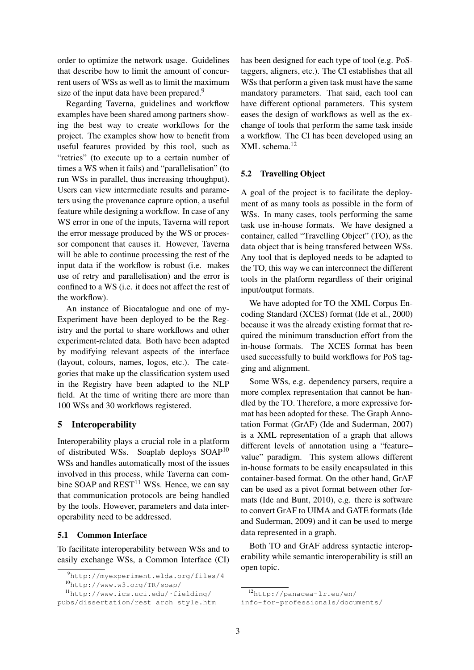order to optimize the network usage. Guidelines that describe how to limit the amount of concurrent users of WSs as well as to limit the maximum size of the input data have been prepared.<sup>9</sup>

Regarding Taverna, guidelines and workflow examples have been shared among partners showing the best way to create workflows for the project. The examples show how to benefit from useful features provided by this tool, such as "retries" (to execute up to a certain number of times a WS when it fails) and "parallelisation" (to run WSs in parallel, thus increasing trhoughput). Users can view intermediate results and parameters using the provenance capture option, a useful feature while designing a workflow. In case of any WS error in one of the inputs, Taverna will report the error message produced by the WS or processor component that causes it. However, Taverna will be able to continue processing the rest of the input data if the workflow is robust (i.e. makes use of retry and parallelisation) and the error is confined to a WS (i.e. it does not affect the rest of the workflow).

An instance of Biocatalogue and one of my-Experiment have been deployed to be the Registry and the portal to share workflows and other experiment-related data. Both have been adapted by modifying relevant aspects of the interface (layout, colours, names, logos, etc.). The categories that make up the classification system used in the Registry have been adapted to the NLP field. At the time of writing there are more than 100 WSs and 30 workflows registered.

# 5 Interoperability

Interoperability plays a crucial role in a platform of distributed WSs. Soaplab deploys SOAP<sup>10</sup> WSs and handles automatically most of the issues involved in this process, while Taverna can combine SOAP and  $REST<sup>11</sup>$  WSs. Hence, we can say that communication protocols are being handled by the tools. However, parameters and data interoperability need to be addressed.

#### 5.1 Common Interface

To facilitate interoperability between WSs and to easily exchange WSs, a Common Interface (CI)

has been designed for each type of tool (e.g. PoStaggers, aligners, etc.). The CI establishes that all WSs that perform a given task must have the same mandatory parameters. That said, each tool can have different optional parameters. This system eases the design of workflows as well as the exchange of tools that perform the same task inside a workflow. The CI has been developed using an XML schema.<sup>12</sup>

#### 5.2 Travelling Object

A goal of the project is to facilitate the deployment of as many tools as possible in the form of WSs. In many cases, tools performing the same task use in-house formats. We have designed a container, called "Travelling Object" (TO), as the data object that is being transfered between WSs. Any tool that is deployed needs to be adapted to the TO, this way we can interconnect the different tools in the platform regardless of their original input/output formats.

We have adopted for TO the XML Corpus Encoding Standard (XCES) format (Ide et al., 2000) because it was the already existing format that required the minimum transduction effort from the in-house formats. The XCES format has been used successfully to build workflows for PoS tagging and alignment.

Some WSs, e.g. dependency parsers, require a more complex representation that cannot be handled by the TO. Therefore, a more expressive format has been adopted for these. The Graph Annotation Format (GrAF) (Ide and Suderman, 2007) is a XML representation of a graph that allows different levels of annotation using a "feature– value" paradigm. This system allows different in-house formats to be easily encapsulated in this container-based format. On the other hand, GrAF can be used as a pivot format between other formats (Ide and Bunt, 2010), e.g. there is software to convert GrAF to UIMA and GATE formats (Ide and Suderman, 2009) and it can be used to merge data represented in a graph.

Both TO and GrAF address syntactic interoperability while semantic interoperability is still an open topic.

<sup>9</sup>http://myexperiment.elda.org/files/4

<sup>10</sup>http://www.w3.org/TR/soap/

<sup>11</sup>http://www.ics.uci.edu/˜fielding/ pubs/dissertation/rest\_arch\_style.htm

<sup>12</sup>http://panacea-lr.eu/en/

info-for-professionals/documents/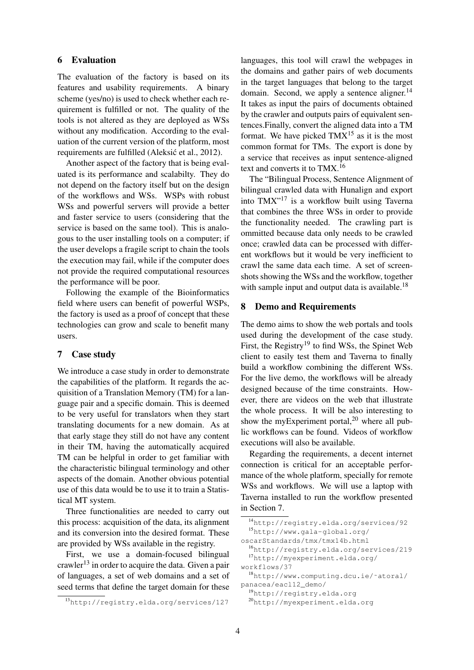#### 6 Evaluation

The evaluation of the factory is based on its features and usability requirements. A binary scheme (yes/no) is used to check whether each requirement is fulfilled or not. The quality of the tools is not altered as they are deployed as WSs without any modification. According to the evaluation of the current version of the platform, most requirements are fulfilled (Aleksić et al., 2012).

Another aspect of the factory that is being evaluated is its performance and scalabilty. They do not depend on the factory itself but on the design of the workflows and WSs. WSPs with robust WSs and powerful servers will provide a better and faster service to users (considering that the service is based on the same tool). This is analogous to the user installing tools on a computer; if the user develops a fragile script to chain the tools the execution may fail, while if the computer does not provide the required computational resources the performance will be poor.

Following the example of the Bioinformatics field where users can benefit of powerful WSPs, the factory is used as a proof of concept that these technologies can grow and scale to benefit many users.

#### 7 Case study

We introduce a case study in order to demonstrate the capabilities of the platform. It regards the acquisition of a Translation Memory (TM) for a language pair and a specific domain. This is deemed to be very useful for translators when they start translating documents for a new domain. As at that early stage they still do not have any content in their TM, having the automatically acquired TM can be helpful in order to get familiar with the characteristic bilingual terminology and other aspects of the domain. Another obvious potential use of this data would be to use it to train a Statistical MT system.

Three functionalities are needed to carry out this process: acquisition of the data, its alignment and its conversion into the desired format. These are provided by WSs available in the registry.

First, we use a domain-focused bilingual crawler<sup>13</sup> in order to acquire the data. Given a pair of languages, a set of web domains and a set of seed terms that define the target domain for these

languages, this tool will crawl the webpages in the domains and gather pairs of web documents in the target languages that belong to the target domain. Second, we apply a sentence aligner. $^{14}$ It takes as input the pairs of documents obtained by the crawler and outputs pairs of equivalent sentences.Finally, convert the aligned data into a TM format. We have picked  $TMX^{15}$  as it is the most common format for TMs. The export is done by a service that receives as input sentence-aligned text and converts it to TMX.<sup>16</sup>

The "Bilingual Process, Sentence Alignment of bilingual crawled data with Hunalign and export into TMX"<sup>17</sup> is a workflow built using Taverna that combines the three WSs in order to provide the functionality needed. The crawling part is ommitted because data only needs to be crawled once; crawled data can be processed with different workflows but it would be very inefficient to crawl the same data each time. A set of screenshots showing the WSs and the workflow, together with sample input and output data is available.<sup>18</sup>

#### 8 Demo and Requirements

The demo aims to show the web portals and tools used during the development of the case study. First, the Registry<sup>19</sup> to find WSs, the Spinet Web client to easily test them and Taverna to finally build a workflow combining the different WSs. For the live demo, the workflows will be already designed because of the time constraints. However, there are videos on the web that illustrate the whole process. It will be also interesting to show the myExperiment portal, $^{20}$  where all public workflows can be found. Videos of workflow executions will also be available.

Regarding the requirements, a decent internet connection is critical for an acceptable performance of the whole platform, specially for remote WSs and workflows. We will use a laptop with Taverna installed to run the workflow presented in Section 7.

workflows/37

<sup>18</sup>http://www.computing.dcu.ie/˜atoral/ panacea/eacl12\_demo/

<sup>19</sup>http://registry.elda.org

<sup>20</sup>http://myexperiment.elda.org

<sup>13</sup>http://registry.elda.org/services/127

<sup>14</sup>http://registry.elda.org/services/92 <sup>15</sup>http://www.gala-global.org/ oscarStandards/tmx/tmx14b.html

<sup>16</sup>http://registry.elda.org/services/219 <sup>17</sup>http://myexperiment.elda.org/